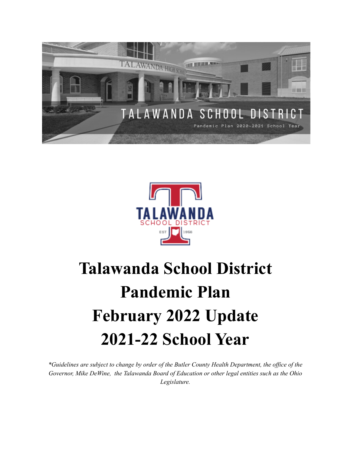



# **Talawanda School District Pandemic Plan February 2022 Update 2021-22 School Year**

\*Guidelines are subject to change by order of the Butler County Health Department, the office of the *Governor, Mike DeWine, the Talawanda Board of Education or other legal entities such as the Ohio Legislature.*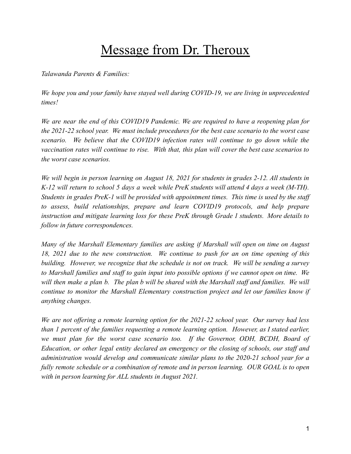# Message from Dr. Theroux

*Talawanda Parents & Families:*

*We hope you and your family have stayed well during COVID-19, we are living in unprecedented times!*

*We are near the end of this COVID19 Pandemic. We are required to have a reopening plan for the 2021-22 school year. We must include procedures for the best case scenario to the worst case scenario. We believe that the COVID19 infection rates will continue to go down while the vaccination rates will continue to rise. With that, this plan will cover the best case scenarios to the worst case scenarios.*

*We will begin in person learning on August 18, 2021 for students in grades 2-12. All students in* K-12 will return to school 5 days a week while PreK students will attend 4 days a week (M-TH). *Students in grades PreK-1 will be provided with appointment times. This time is used by the staff to assess, build relationships, prepare and learn COVID19 protocols, and help prepare instruction and mitigate learning loss for these PreK through Grade 1 students. More details to follow in future correspondences.*

*Many of the Marshall Elementary families are asking if Marshall will open on time on August 18, 2021 due to the new construction. We continue to push for an on time opening of this building. However, we recognize that the schedule is not on track. We will be sending a survey to Marshall families and staff to gain input into possible options if we cannot open on time. We* will then make a plan b. The plan b will be shared with the Marshall staff and families. We will *continue to monitor the Marshall Elementary construction project and let our families know if anything changes.*

*We are not offering a remote learning option for the 2021-22 school year. Our survey had less than 1 percent of the families requesting a remote learning option. However, as I stated earlier, we must plan for the worst case scenario too. If the Governor, ODH, BCDH, Board of Education, or other legal entity declared an emergency or the closing of schools, our staff and administration would develop and communicate similar plans to the 2020-21 school year for a fully remote schedule or a combination of remote and in person learning. OUR GOAL is to open with in person learning for ALL students in August 2021.*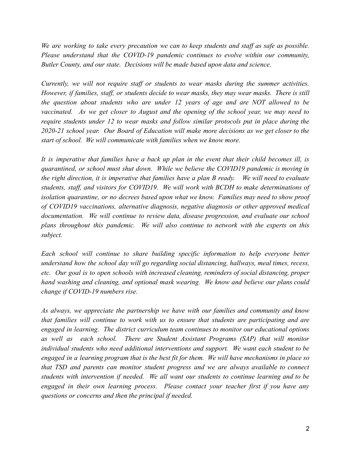*We are working to take every precaution we can to keep students and staff as safe as possible. Please understand that the COVID-19 pandemic continues to evolve within our community, Butler County, and our state. Decisions will be made based upon data and science.*

*Currently, we will not require staff or students to wear masks during the summer activities. However, if families, staff, or students decide to wear masks, they may wear masks. There is still the question about students who are under 12 years of age and are NOT allowed to be vaccinated. As we get closer to August and the opening of the school year, we may need to require students under 12 to wear masks and follow similar protocols put in place during the 2020-21 school year. Our Board of Education will make more decisions as we get closer to the start of school. We will communicate with families when we know more.*

It is imperative that families have a back up plan in the event that their child becomes ill, is *quarantined, or school must shut down. While we believe the COVID19 pandemic is moving in the right direction, it is imperative that families have a plan B ready. We will need to evaluate students, staff, and visitors for COVID19. We will work with BCDH to make determinations of isolation quarantine, or no decrees based upon what we know. Families may need to show proof of COVID19 vaccinations, alternative diagnosis, negative diagnosis or other approved medical documentation. We will continue to review data, disease progression, and evaluate our school plans throughout this pandemic. We will also continue to network with the experts on this subject.*

*Each school will continue to share building specific information to help everyone better understand how the school day will go regarding social distancing, hallways, meal times, recess, etc. Our goal is to open schools with increased cleaning, reminders of social distancing, proper hand washing and cleaning, and optional mask wearing. We know and believe our plans could change if COVID-19 numbers rise.*

*As always, we appreciate the partnership we have with our families and community and know that families will continue to work with us to ensure that students are participating and are engaged in learning. The district curriculum team continues to monitor our educational options as well as each school. There are Student Assistant Programs (SAP) that will monitor individual students who need additional interventions and support. We want each student to be* engaged in a learning program that is the best fit for them. We will have mechanisms in place so *that TSD and parents can monitor student progress and we are always available to connect students with intervention if needed. We all want our students to continue learning and to be engaged in their own learning process. Please contact your teacher first if you have any questions or concerns and then the principal if needed.*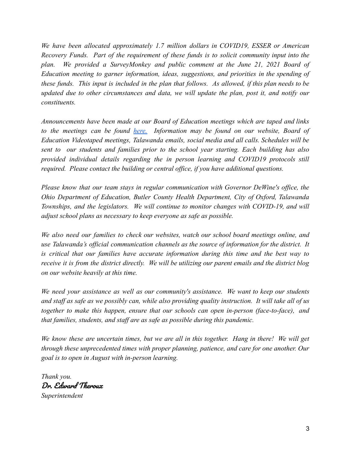*We have been allocated approximately 1.7 million dollars in COVID19, ESSER or American Recovery Funds. Part of the requirement of these funds is to solicit community input into the plan. We provided a SurveyMonkey and public comment at the June 21, 2021 Board of Education meeting to garner information, ideas, suggestions, and priorities in the spending of* these funds. This input is included in the plan that follows. As allowed, if this plan needs to be *updated due to other circumstances and data, we will update the plan, post it, and notify our constituents.*

*Announcements have been made at our Board of Education meetings which are taped and links to the meetings can be found [here.](https://www.talawanda.org/departments/board-of-education-2/virtual-boe-meetings-links-252/) Information may be found on our website, Board of Education Videotaped meetings, Talawanda emails, social media and all calls. Schedules will be sent to our students and families prior to the school year starting. Each building has also provided individual details regarding the in person learning and COVID19 protocols still required. Please contact the building or central office, if you have additional questions.*

*Please know that our team stays in regular communication with Governor DeWine's office, the Ohio Department of Education, Butler County Health Department, City of Oxford, Talawanda Townships, and the legislators. We will continue to monitor changes with COVID-19, and will adjust school plans as necessary to keep everyone as safe as possible.*

*We also need our families to check our websites, watch our school board meetings online, and use Talawanda's official communication channels as the source of information for the district. It is critical that our families have accurate information during this time and the best way to* receive it is from the district directly. We will be utilizing our parent emails and the district blog *on our website heavily at this time.*

*We need your assistance as well as our community's assistance. We want to keep our students* and staff as safe as we possibly can, while also providing quality instruction. It will take all of us *together to make this happen, ensure that our schools can open in-person (face-to-face), and that families, students, and staff are as safe as possible during this pandemic.*

We know these are uncertain times, but we are all in this together. Hang in there! We will get *through these unprecedented times with proper planning, patience, and care for one another. Our goal is to open in August with in-person learning.*

*Thank you.* Dr. Edward Theroux *Superintendent*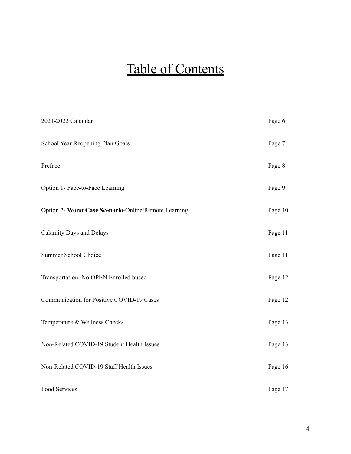# Table of Contents

| 2021-2022 Calendar                                   | Page 6  |
|------------------------------------------------------|---------|
| School Year Reopening Plan Goals                     | Page 7  |
| Preface                                              | Page 8  |
| Option 1- Face-to-Face Learning                      | Page 9  |
| Option 2- Worst Case Scenario-Online/Remote Learning | Page 10 |
| <b>Calamity Days and Delays</b>                      | Page 11 |
| Summer School Choice                                 | Page 11 |
| Transportation: No OPEN Enrolled bused               | Page 12 |
| Communication for Positive COVID-19 Cases            | Page 12 |
| Temperature & Wellness Checks                        | Page 13 |
| Non-Related COVID-19 Student Health Issues           | Page 13 |
| Non-Related COVID-19 Staff Health Issues             | Page 16 |
| Food Services                                        | Page 17 |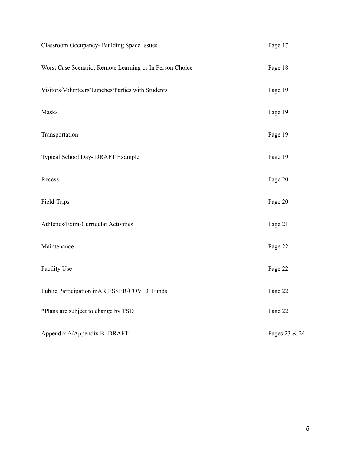| Classroom Occupancy- Building Space Issues               | Page 17       |
|----------------------------------------------------------|---------------|
| Worst Case Scenario: Remote Learning or In Person Choice | Page 18       |
| Visitors/Volunteers/Lunches/Parties with Students        | Page 19       |
| Masks                                                    | Page 19       |
| Transportation                                           | Page 19       |
| Typical School Day- DRAFT Example                        | Page 19       |
| Recess                                                   | Page 20       |
| Field-Trips                                              | Page 20       |
| Athletics/Extra-Curricular Activities                    | Page 21       |
| Maintenance                                              | Page 22       |
| <b>Facility Use</b>                                      | Page 22       |
| Public Participation inAR, ESSER/COVID Funds             | Page 22       |
| *Plans are subject to change by TSD                      | Page 22       |
| Appendix A/Appendix B- DRAFT                             | Pages 23 & 24 |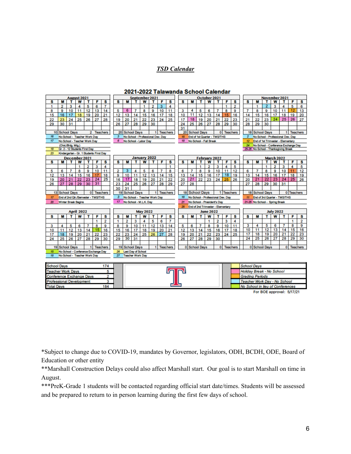#### *TSD Calendar*



#### 2021-2022 Talawanda School Calendar

For BOE approval: 5/17/21

\*Subject to change due to COVID-19, mandates by Governor, legislators, ODH, BCDH, ODE, Board of Education or other entity

\*\*Marshall Construction Delays could also affect Marshall start. Our goal is to start Marshall on time in August.

\*\*\*PreK-Grade 1 students will be contacted regarding official start date/times. Students will be assessed and be prepared to return to in person learning during the first few days of school.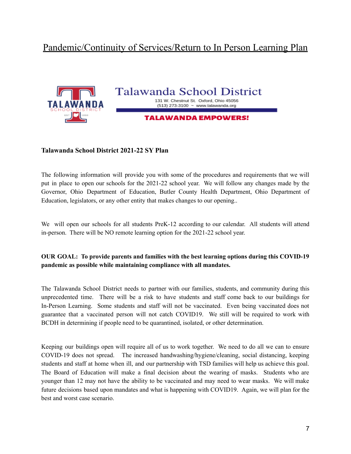# Pandemic/Continuity of Services/Return to In Person Learning Plan



# **Talawanda School District** 131 W. Chestnut St. Oxford, Ohio 45056 (513) 273-3100 ~ www.talawanda.org

#### **TALAWANDA EMPOWERS!**

#### **Talawanda School District 2021-22 SY Plan**

The following information will provide you with some of the procedures and requirements that we will put in place to open our schools for the 2021-22 school year. We will follow any changes made by the Governor, Ohio Department of Education, Butler County Health Department, Ohio Department of Education, legislators, or any other entity that makes changes to our opening..

We will open our schools for all students PreK-12 according to our calendar. All students will attend in-person. There will be NO remote learning option for the 2021-22 school year.

#### **OUR GOAL: To provide parents and families with the best learning options during this COVID-19 pandemic as possible while maintaining compliance with all mandates.**

The Talawanda School District needs to partner with our families, students, and community during this unprecedented time. There will be a risk to have students and staff come back to our buildings for In-Person Learning. Some students and staff will not be vaccinated. Even being vaccinated does not guarantee that a vaccinated person will not catch COVID19. We still will be required to work with BCDH in determining if people need to be quarantined, isolated, or other determination.

Keeping our buildings open will require all of us to work together. We need to do all we can to ensure COVID-19 does not spread. The increased handwashing/hygiene/cleaning, social distancing, keeping students and staff at home when ill, and our partnership with TSD families will help us achieve this goal. The Board of Education will make a final decision about the wearing of masks. Students who are younger than 12 may not have the ability to be vaccinated and may need to wear masks. We will make future decisions based upon mandates and what is happening with COVID19. Again, we will plan for the best and worst case scenario.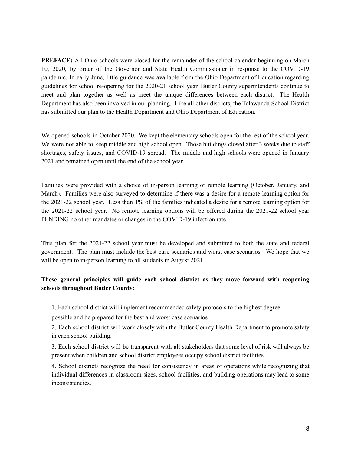**PREFACE:** All Ohio schools were closed for the remainder of the school calendar beginning on March 10, 2020, by order of the Governor and State Health Commissioner in response to the COVID-19 pandemic. In early June, little guidance was available from the Ohio Department of Education regarding guidelines for school re-opening for the 2020-21 school year. Butler County superintendents continue to meet and plan together as well as meet the unique differences between each district. The Health Department has also been involved in our planning. Like all other districts, the Talawanda School District has submitted our plan to the Health Department and Ohio Department of Education.

We opened schools in October 2020. We kept the elementary schools open for the rest of the school year. We were not able to keep middle and high school open. Those buildings closed after 3 weeks due to staff shortages, safety issues, and COVID-19 spread. The middle and high schools were opened in January 2021 and remained open until the end of the school year.

Families were provided with a choice of in-person learning or remote learning (October, January, and March). Families were also surveyed to determine if there was a desire for a remote learning option for the 2021-22 school year. Less than 1% of the families indicated a desire for a remote learning option for the 2021-22 school year. No remote learning options will be offered during the 2021-22 school year PENDING no other mandates or changes in the COVID-19 infection rate.

This plan for the 2021-22 school year must be developed and submitted to both the state and federal government. The plan must include the best case scenarios and worst case scenarios. We hope that we will be open to in-person learning to all students in August 2021.

#### **These general principles will guide each school district as they move forward with reopening schools throughout Butler County:**

1. Each school district will implement recommended safety protocols to the highest degree

possible and be prepared for the best and worst case scenarios.

2. Each school district will work closely with the Butler County Health Department to promote safety in each school building.

3. Each school district will be transparent with all stakeholders that some level of risk will always be present when children and school district employees occupy school district facilities.

4. School districts recognize the need for consistency in areas of operations while recognizing that individual differences in classroom sizes, school facilities, and building operations may lead to some inconsistencies.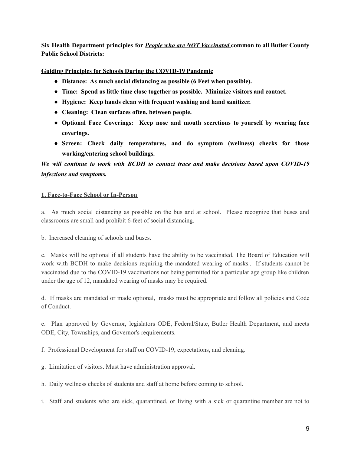**Six Health Department principles for** *People who are NOT Vaccinated* **common to all Butler County Public School Districts:**

#### **Guiding Principles for Schools During the COVID-19 Pandemic**

- **● Distance: As much social distancing as possible (6 Feet when possible).**
- **● Time: Spend as little time close together as possible. Minimize visitors and contact.**
- **● Hygiene: Keep hands clean with frequent washing and hand sanitizer.**
- **● Cleaning: Clean surfaces often, between people.**
- **● Optional Face Coverings: Keep nose and mouth secretions to yourself by wearing face coverings.**
- **● Screen: Check daily temperatures, and do symptom (wellness) checks for those working/entering school buildings.**

# *We will continue to work with BCDH to contact trace and make decisions based upon COVID-19 infections and symptoms.*

#### **1. Face-to-Face School or In-Person**

a. As much social distancing as possible on the bus and at school. Please recognize that buses and classrooms are small and prohibit 6-feet of social distancing.

b. Increased cleaning of schools and buses.

c. Masks will be optional if all students have the ability to be vaccinated. The Board of Education will work with BCDH to make decisions requiring the mandated wearing of masks.. If students cannot be vaccinated due to the COVID-19 vaccinations not being permitted for a particular age group like children under the age of 12, mandated wearing of masks may be required.

d. If masks are mandated or made optional, masks must be appropriate and follow all policies and Code of Conduct.

e. Plan approved by Governor, legislators ODE, Federal/State, Butler Health Department, and meets ODE, City, Townships, and Governor's requirements.

f. Professional Development for staff on COVID-19, expectations, and cleaning.

- g. Limitation of visitors. Must have administration approval.
- h. Daily wellness checks of students and staff at home before coming to school.
- i. Staff and students who are sick, quarantined, or living with a sick or quarantine member are not to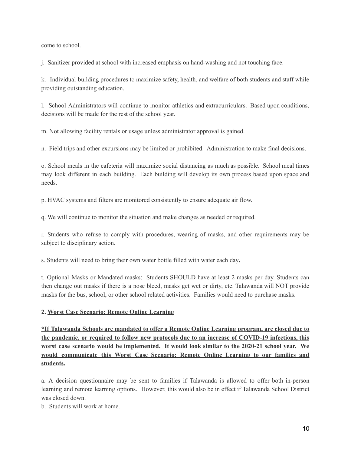come to school.

j. Sanitizer provided at school with increased emphasis on hand-washing and not touching face.

k. Individual building procedures to maximize safety, health, and welfare of both students and staff while providing outstanding education.

l. School Administrators will continue to monitor athletics and extracurriculars. Based upon conditions, decisions will be made for the rest of the school year.

m. Not allowing facility rentals or usage unless administrator approval is gained.

n. Field trips and other excursions may be limited or prohibited. Administration to make final decisions.

o. School meals in the cafeteria will maximize social distancing as much as possible. School meal times may look different in each building. Each building will develop its own process based upon space and needs.

p. HVAC systems and filters are monitored consistently to ensure adequate air flow.

q. We will continue to monitor the situation and make changes as needed or required.

r. Students who refuse to comply with procedures, wearing of masks, and other requirements may be subject to disciplinary action.

s. Students will need to bring their own water bottle filled with water each day**.**

t. Optional Masks or Mandated masks: Students SHOULD have at least 2 masks per day. Students can then change out masks if there is a nose bleed, masks get wet or dirty, etc. Talawanda will NOT provide masks for the bus, school, or other school related activities. Families would need to purchase masks.

# **2. Worst Case Scenario: Remote Online Learning**

**\*If Talawanda Schools are mandated to offer a Remote Online Learning program, are closed due to the pandemic, or required to follow new protocols due to an increase of COVID-19 infections, this worst case scenario would be implemented. It would look similar to the 2020-21 school year. We would communicate this Worst Case Scenario: Remote Online Learning to our families and students.**

a. A decision questionnaire may be sent to families if Talawanda is allowed to offer both in-person learning and remote learning options. However, this would also be in effect if Talawanda School District was closed down.

b. Students will work at home.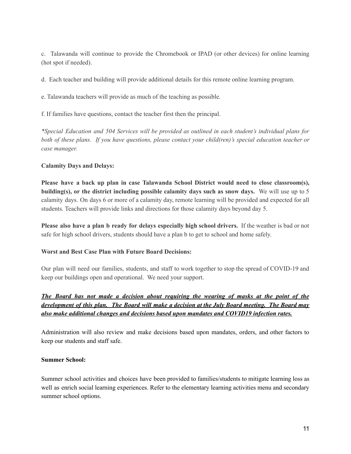c. Talawanda will continue to provide the Chromebook or IPAD (or other devices) for online learning (hot spot if needed).

d. Each teacher and building will provide additional details for this remote online learning program.

e. Talawanda teachers will provide as much of the teaching as possible.

f. If families have questions, contact the teacher first then the principal.

*\*Special Education and 504 Services will be provided as outlined in each student's individual plans for both of these plans. If you have questions, please contact your child(ren)'s special education teacher or case manager.*

#### **Calamity Days and Delays:**

**Please have a back up plan in case Talawanda School District would need to close classroom(s), building(s), or the district including possible calamity days such as snow days.** We will use up to 5 calamity days. On days 6 or more of a calamity day, remote learning will be provided and expected for all students. Teachers will provide links and directions for those calamity days beyond day 5.

**Please also have a plan b ready for delays especially high school drivers.** If the weather is bad or not safe for high school drivers, students should have a plan b to get to school and home safely.

#### **Worst and Best Case Plan with Future Board Decisions:**

Our plan will need our families, students, and staff to work together to stop the spread of COVID-19 and keep our buildings open and operational. We need your support.

# *The Board has not made a decision about requiring the wearing of masks at the point of the development of this plan. The Board will make a decision at the July Board meeting. The Board may also make additional changes and decisions based upon mandates and COVID19 infection rates.*

Administration will also review and make decisions based upon mandates, orders, and other factors to keep our students and staff safe.

#### **Summer School:**

Summer school activities and choices have been provided to families/students to mitigate learning loss as well as enrich social learning experiences. Refer to the elementary learning activities menu and secondary summer school options.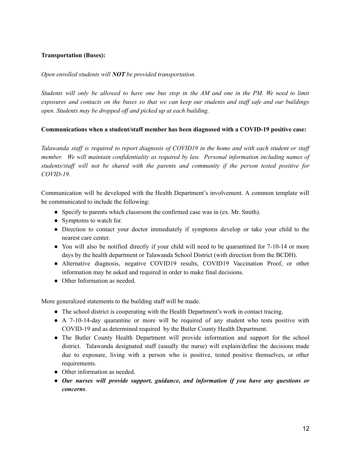#### **Transportation (Buses):**

*Open enrolled students will NOT be provided transportation.*

Students will only be allowed to have one bus stop in the AM and one in the PM. We need to limit exposures and contacts on the buses so that we can keep our students and staff safe and our buildings *open. Students may be dropped of and picked up at each building.*

#### **Communications when a student/staff member has been diagnosed with a COVID-19 positive case:**

Talawanda staff is required to report diagnosis of COVID19 in the home and with each student or staff *member. We will maintain confidentiality as required by law. Personal information including names of students/staf will not be shared with the parents and community if the person tested positive for COVID-19.*

Communication will be developed with the Health Department's involvement. A common template will be communicated to include the following:

- Specify to parents which classroom the confirmed case was in (ex. Mr. Smith).
- Symptoms to watch for.
- Direction to contact your doctor immediately if symptoms develop or take your child to the nearest care center.
- You will also be notified directly if your child will need to be quarantined for 7-10-14 or more days by the health department or Talawanda School District (with direction from the BCDH).
- Alternative diagnosis, negative COVID19 results, COVID19 Vaccination Proof, or other information may be asked and required in order to make final decisions.
- Other Information as needed.

More generalized statements to the building staff will be made.

- The school district is cooperating with the Health Department's work in contact tracing.
- A 7-10-14-day quarantine or more will be required of any student who tests positive with COVID-19 and as determined required by the Butler County Health Department.
- The Butler County Health Department will provide information and support for the school district. Talawanda designated staff (usually the nurse) will explain/define the decisions made due to exposure, living with a person who is positive, tested positive themselves, or other requirements.
- Other information as needed.
- *Our nurses will provide support, guidance, and information if you have any questions or concerns*.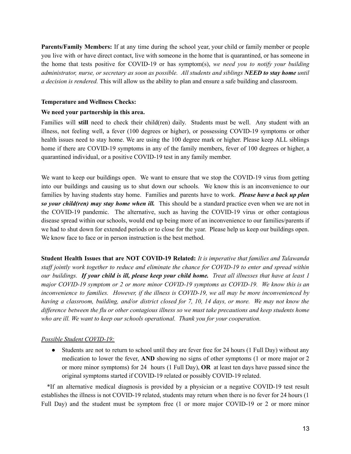**Parents/Family Members:** If at any time during the school year, your child or family member or people you live with or have direct contact, live with someone in the home that is quarantined, or has someone in the home that tests positive for COVID-19 or has symptom(s), *we need you to notify your building administrator, nurse, or secretary as soon as possible. All students and siblings NEED to stay home until a decision is rendered.* This will allow us the ability to plan and ensure a safe building and classroom.

#### **Temperature and Wellness Checks:**

#### **We need your partnership in this area.**

Families will **still** need to check their child(ren) daily. Students must be well. Any student with an illness, not feeling well, a fever (100 degrees or higher), or possessing COVID-19 symptoms or other health issues need to stay home. We are using the 100 degree mark or higher. Please keep ALL siblings home if there are COVID-19 symptoms in any of the family members, fever of 100 degrees or higher, a quarantined individual, or a positive COVID-19 test in any family member.

We want to keep our buildings open. We want to ensure that we stop the COVID-19 virus from getting into our buildings and causing us to shut down our schools. We know this is an inconvenience to our families by having students stay home. Families and parents have to work. *Please have a back up plan so your child(ren) may stay home when ill.* This should be a standard practice even when we are not in the COVID-19 pandemic. The alternative, such as having the COVID-19 virus or other contagious disease spread within our schools, would end up being more of an inconvenience to our families/parents if we had to shut down for extended periods or to close for the year. Please help us keep our buildings open. We know face to face or in person instruction is the best method.

**Student Health Issues that are NOT COVID-19 Related:** *It is imperative that families and Talawanda staf jointly work together to reduce and eliminate the chance for COVID-19 to enter and spread within* our buildings. If your child is ill, please keep your child home. Treat all illnesses that have at least 1 *major COVID-19 symptom or 2 or more minor COVID-19 symptoms as COVID-19. We know this is an inconvenience to families. However, if the illness is COVID-19, we all may be more inconvenienced by* having a classroom, building, and/or district closed for 7, 10, 14 days, or more. We may not know the difference between the flu or other contagious illness so we must take precautions and keep students home *who are ill. We want to keep our schools operational. Thank you for your cooperation.*

#### *Possible Student COVID-19:*

• Students are not to return to school until they are fever free for 24 hours (1 Full Day) without any medication to lower the fever, **AND** showing no signs of other symptoms (1 or more major or 2 or more minor symptoms) for 24 hours (1 Full Day), **OR** at least ten days have passed since the original symptoms started if COVID-19 related or possibly COVID-19 related.

\*If an alternative medical diagnosis is provided by a physician or a negative COVID-19 test result establishes the illness is not COVID-19 related, students may return when there is no fever for 24 hours (1 Full Day) and the student must be symptom free (1 or more major COVID-19 or 2 or more minor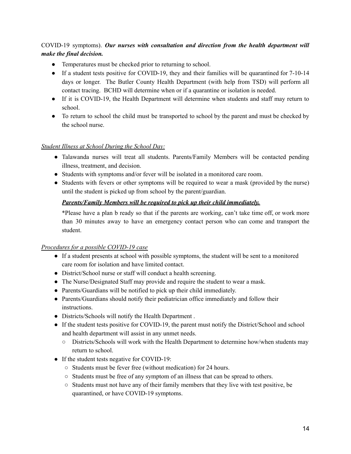# COVID-19 symptoms). *Our nurses with consultation and direction from the health department will make the final decision.*

- Temperatures must be checked prior to returning to school.
- If a student tests positive for COVID-19, they and their families will be quarantined for 7-10-14 days or longer. The Butler County Health Department (with help from TSD) will perform all contact tracing. BCHD will determine when or if a quarantine or isolation is needed.
- If it is COVID-19, the Health Department will determine when students and staff may return to school.
- To return to school the child must be transported to school by the parent and must be checked by the school nurse.

#### *Student Illness at School During the School Day:*

- Talawanda nurses will treat all students. Parents/Family Members will be contacted pending illness, treatment, and decision.
- Students with symptoms and/or fever will be isolated in a monitored care room.
- Students with fevers or other symptoms will be required to wear a mask (provided by the nurse) until the student is picked up from school by the parent/guardian.

#### *Parents/Family Members will be required to pick up their child immediately.*

\*Please have a plan b ready so that if the parents are working, can't take time off, or work more than 30 minutes away to have an emergency contact person who can come and transport the student.

#### *Procedures for a possible COVID-19 case*

- If a student presents at school with possible symptoms, the student will be sent to a monitored care room for isolation and have limited contact.
- District/School nurse or staff will conduct a health screening.
- The Nurse/Designated Staff may provide and require the student to wear a mask.
- Parents/Guardians will be notified to pick up their child immediately.
- Parents/Guardians should notify their pediatrician office immediately and follow their instructions.
- Districts/Schools will notify the Health Department .
- If the student tests positive for COVID-19, the parent must notify the District/School and school and health department will assist in any unmet needs.
	- Districts/Schools will work with the Health Department to determine how/when students may return to school.
- If the student tests negative for COVID-19:
	- Students must be fever free (without medication) for 24 hours.
	- Students must be free of any symptom of an illness that can be spread to others.
	- Students must not have any of their family members that they live with test positive, be quarantined, or have COVID-19 symptoms.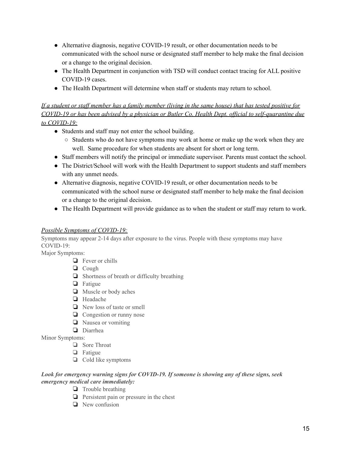- Alternative diagnosis, negative COVID-19 result, or other documentation needs to be communicated with the school nurse or designated staff member to help make the final decision or a change to the original decision.
- The Health Department in conjunction with TSD will conduct contact tracing for ALL positive COVID-19 cases.
- The Health Department will determine when staff or students may return to school.

# If a student or staff member has a family member (living in the same house) that has tested positive for COVID-19 or has been advised by a physician or Butler Co. Health Dept. official to self-quarantine due *to COVID-19:*

- Students and staff may not enter the school building.
	- $\circ$  Students who do not have symptoms may work at home or make up the work when they are well. Same procedure for when students are absent for short or long term.
- Staff members will notify the principal or immediate supervisor. Parents must contact the school.
- The District/School will work with the Health Department to support students and staff members with any unmet needs.
- Alternative diagnosis, negative COVID-19 result, or other documentation needs to be communicated with the school nurse or designated staff member to help make the final decision or a change to the original decision.
- The Health Department will provide guidance as to when the student or staff may return to work.

# *Possible Symptoms of COVID-19:*

Symptoms may appear 2-14 days after exposure to the virus. People with these symptoms may have COVID-19:

Major Symptoms:

- ❏ Fever or chills
- ❏ Cough
- ❏ Shortness of breath or difficulty breathing
- ❏ Fatigue
- ❏ Muscle or body aches
- ❏ Headache
- ❏ New loss of taste or smell
- ❏ Congestion or runny nose
- ❏ Nausea or vomiting
- ❏ Diarrhea

Minor Symptoms:

- ❏ Sore Throat
- ❏ Fatigue
- ❏ Cold like symptoms

#### *Look for emergency warning signs for COVID-19. If someone is showing any of these signs, seek emergency medical care immediately:*

- ❏ Trouble breathing
- ❏ Persistent pain or pressure in the chest
- ❏ New confusion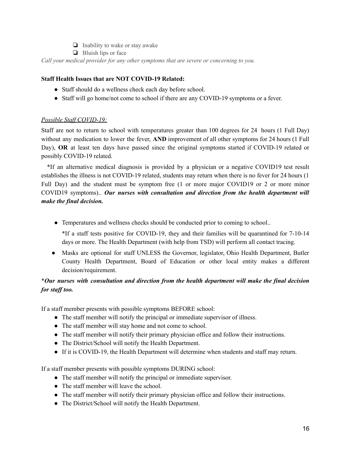- ❏ Inability to wake or stay awake
- ❏ Bluish lips or face

*Call your medical provider for any other symptoms that are severe or concerning to you.*

#### **Staff Health Issues that are NOT COVID-19 Related:**

- Staff should do a wellness check each day before school.
- Staff will go home/not come to school if there are any COVID-19 symptoms or a fever.

#### *Possible Staf COVID-19:*

Staff are not to return to school with temperatures greater than 100 degrees for 24 hours (1 Full Day) without any medication to lower the fever, **AND** improvement of all other symptoms for 24 hours (1 Full Day), **OR** at least ten days have passed since the original symptoms started if COVID-19 related or possibly COVID-19 related.

\*If an alternative medical diagnosis is provided by a physician or a negative COVID19 test result establishes the illness is not COVID-19 related, students may return when there is no fever for 24 hours (1 Full Day) and the student must be symptom free (1 or more major COVID19 or 2 or more minor COVID19 symptoms).. *Our nurses with consultation and direction from the health department will make the final decision.*

- Temperatures and wellness checks should be conducted prior to coming to school..
	- \*If a staff tests positive for COVID-19, they and their families will be quarantined for 7-10-14 days or more. The Health Department (with help from TSD) will perform all contact tracing.
- Masks are optional for staff UNLESS the Governor, legislator, Ohio Health Department, Butler County Health Department, Board of Education or other local entity makes a different decision/requirement.

# \**Our nurses with consultation and direction from the health department will make the final decision for staf too.*

If a staff member presents with possible symptoms BEFORE school:

- The staff member will notify the principal or immediate supervisor of illness.
- The staff member will stay home and not come to school.
- The staff member will notify their primary physician office and follow their instructions.
- The District/School will notify the Health Department.
- If it is COVID-19, the Health Department will determine when students and staff may return.

If a staff member presents with possible symptoms DURING school:

- The staff member will notify the principal or immediate supervisor.
- The staff member will leave the school.
- The staff member will notify their primary physician office and follow their instructions.
- The District/School will notify the Health Department.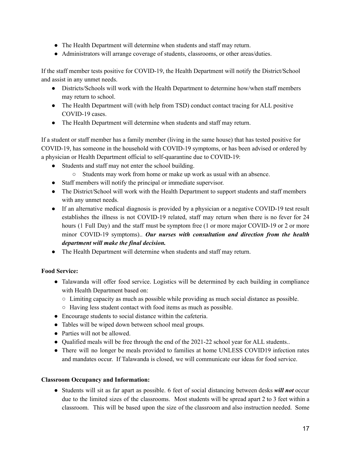- The Health Department will determine when students and staff may return.
- Administrators will arrange coverage of students, classrooms, or other areas/duties.

If the staff member tests positive for COVID-19, the Health Department will notify the District/School and assist in any unmet needs.

- Districts/Schools will work with the Health Department to determine how/when staff members may return to school.
- The Health Department will (with help from TSD) conduct contact tracing for ALL positive COVID-19 cases.
- The Health Department will determine when students and staff may return.

If a student or staff member has a family member (living in the same house) that has tested positive for COVID-19, has someone in the household with COVID-19 symptoms, or has been advised or ordered by a physician or Health Department official to self-quarantine due to COVID-19:

- Students and staff may not enter the school building.
	- Students may work from home or make up work as usual with an absence.
- Staff members will notify the principal or immediate supervisor.
- The District/School will work with the Health Department to support students and staff members with any unmet needs.
- If an alternative medical diagnosis is provided by a physician or a negative COVID-19 test result establishes the illness is not COVID-19 related, staff may return when there is no fever for 24 hours (1 Full Day) and the staff must be symptom free (1 or more major COVID-19 or 2 or more minor COVID-19 symptoms).. *Our nurses with consultation and direction from the health department will make the final decision.*
- The Health Department will determine when students and staff may return.

# **Food Service:**

- Talawanda will offer food service. Logistics will be determined by each building in compliance with Health Department based on:
	- Limiting capacity as much as possible while providing as much social distance as possible.
	- Having less student contact with food items as much as possible.
- Encourage students to social distance within the cafeteria.
- Tables will be wiped down between school meal groups.
- Parties will not be allowed.
- Qualified meals will be free through the end of the 2021-22 school year for ALL students..
- There will no longer be meals provided to families at home UNLESS COVID19 infection rates and mandates occur. If Talawanda is closed, we will communicate our ideas for food service.

#### **Classroom Occupancy and Information:**

● Students will sit as far apart as possible. 6 feet of social distancing between desks *will not* occur due to the limited sizes of the classrooms. Most students will be spread apart 2 to 3 feet within a classroom. This will be based upon the size of the classroom and also instruction needed. Some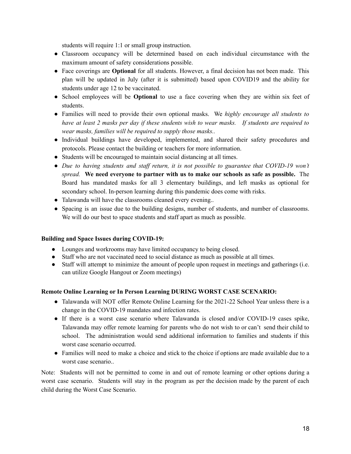students will require 1:1 or small group instruction.

- Classroom occupancy will be determined based on each individual circumstance with the maximum amount of safety considerations possible.
- Face coverings are **Optional** for all students. However, a final decision has not been made. This plan will be updated in July (after it is submitted) based upon COVID19 and the ability for students under age 12 to be vaccinated.
- School employees will be **Optional** to use a face covering when they are within six feet of students.
- Families will need to provide their own optional masks. We *highly encourage all students to* have at least 2 masks per day if these students wish to wear masks. If students are required to *wear masks, families will be required to supply those masks..*
- Individual buildings have developed, implemented, and shared their safety procedures and protocols. Please contact the building or teachers for more information.
- Students will be encouraged to maintain social distancing at all times.
- *Due to having students and staf return, it is not possible to guarantee that COVID-19 won't spread.* **We need everyone to partner with us to make our schools as safe as possible.** The Board has mandated masks for all 3 elementary buildings, and left masks as optional for secondary school. In-person learning during this pandemic does come with risks.
- Talawanda will have the classrooms cleaned every evening...
- Spacing is an issue due to the building designs, number of students, and number of classrooms. We will do our best to space students and staff apart as much as possible.

#### **Building and Space Issues during COVID-19:**

- Lounges and workrooms may have limited occupancy to being closed.
- Staff who are not vaccinated need to social distance as much as possible at all times.
- Staff will attempt to minimize the amount of people upon request in meetings and gatherings (i.e. can utilize Google Hangout or Zoom meetings)

#### **Remote Online Learning or In Person Learning DURING WORST CASE SCENARIO:**

- Talawanda will NOT offer Remote Online Learning for the 2021-22 School Year unless there is a change in the COVID-19 mandates and infection rates.
- If there is a worst case scenario where Talawanda is closed and/or COVID-19 cases spike, Talawanda may offer remote learning for parents who do not wish to or can't send their child to school. The administration would send additional information to families and students if this worst case scenario occurred.
- Families will need to make a choice and stick to the choice if options are made available due to a worst case scenario..

Note: Students will not be permitted to come in and out of remote learning or other options during a worst case scenario. Students will stay in the program as per the decision made by the parent of each child during the Worst Case Scenario.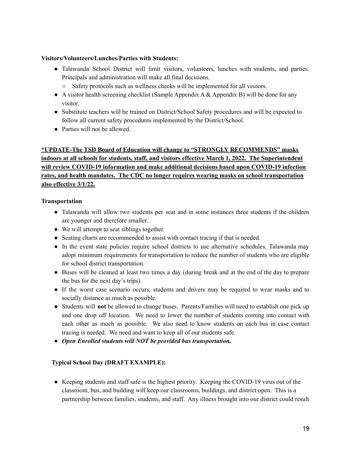#### **Visitors/Volunteers/Lunches/Parties with Students:**

- Talawanda School District will limit visitors, volunteers, lunches with students, and parties. Principals and administration will make all final decisions.
	- Safety protocols such as wellness checks will be implemented for all visitors.
- A visitor health screening checklist (Sample Appendix A & Appendix B) will be done for any visitor.
- Substitute teachers will be trained on District/School Safety procedures and will be expected to follow all current safety procedures implemented by the District/School.
- Parties will not be allowed.

# **\*UPDATE-The TSD Board of Education will change to "STRONGLY RECOMMENDS" masks indoors at all schools for students, staff, and visitors effective March 1, 2022. The Superintendent will review COVID-19 information and make additional decisions based upon COVID-19 infection rates, and health mandates. The CDC no longer requires wearing masks on school transportation also effective 3/1/22.**

#### **Transportation**

- Talawanda will allow two students per seat and in some instances three students if the children are younger and therefore smaller.
- We will attempt to seat siblings together.
- Seating charts are recommended to assist with contact tracing if that is needed.
- In the event state policies require school districts to use alternative schedules, Talawanda may adopt minimum requirements for transportation to reduce the number of students who are eligible for school district transportation.
- Buses will be cleaned at least two times a day (during break and at the end of the day to prepare the bus for the next day's trips).
- If the worst case scenario occurs, students and drivers may be required to wear masks and to socially distance as much as possible.
- Students will **not** be allowed to change buses. Parents/Families will need to establish one pick up and one drop off location. We need to lower the number of students coming into contact with each other as much as possible. We also need to know students on each bus in case contact tracing is needed. We need and want to keep all of our students safe.
- *● Open Enrolled students will NOT be provided bus transportation.*

#### **Typical School Day (DRAFT EXAMPLE):**

● Keeping students and staff safe is the highest priority. Keeping the COVID-19 virus out of the classroom, bus, and building will keep our classrooms, buildings, and district open. This is a partnership between families, students, and staff. Any illness brought into our district could result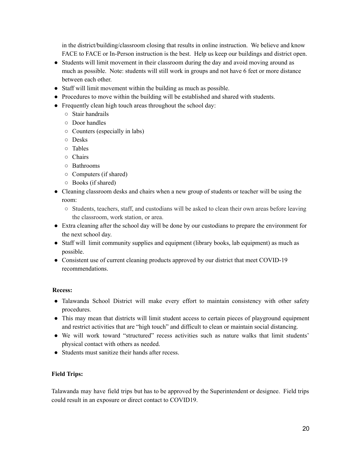in the district/building/classroom closing that results in online instruction. We believe and know FACE to FACE or In-Person instruction is the best. Help us keep our buildings and district open.

- Students will limit movement in their classroom during the day and avoid moving around as much as possible. Note: students will still work in groups and not have 6 feet or more distance between each other.
- Staff will limit movement within the building as much as possible.
- Procedures to move within the building will be established and shared with students.
- Frequently clean high touch areas throughout the school day:
	- Stair handrails
	- Door handles
	- Counters (especially in labs)
	- Desks
	- Tables
	- Chairs
	- Bathrooms
	- Computers (if shared)
	- Books (if shared)
- Cleaning classroom desks and chairs when a new group of students or teacher will be using the room:
	- Students, teachers, staff, and custodians will be asked to clean their own areas before leaving the classroom, work station, or area.
- Extra cleaning after the school day will be done by our custodians to prepare the environment for the next school day.
- Staff will limit community supplies and equipment (library books, lab equipment) as much as possible.
- Consistent use of current cleaning products approved by our district that meet COVID-19 recommendations.

#### **Recess:**

- Talawanda School District will make every effort to maintain consistency with other safety procedures.
- This may mean that districts will limit student access to certain pieces of playground equipment and restrict activities that are "high touch" and difficult to clean or maintain social distancing.
- We will work toward "structured" recess activities such as nature walks that limit students' physical contact with others as needed.
- Students must sanitize their hands after recess.

#### **Field Trips:**

Talawanda may have field trips but has to be approved by the Superintendent or designee. Field trips could result in an exposure or direct contact to COVID19.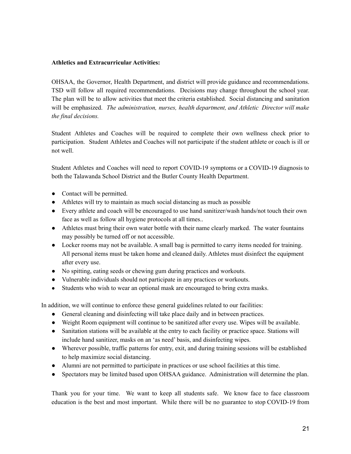#### **Athletics and Extracurricular Activities:**

OHSAA, the Governor, Health Department, and district will provide guidance and recommendations. TSD will follow all required recommendations. Decisions may change throughout the school year. The plan will be to allow activities that meet the criteria established. Social distancing and sanitation will be emphasized. *The administration, nurses, health department, and Athletic Director will make the final decisions.*

Student Athletes and Coaches will be required to complete their own wellness check prior to participation. Student Athletes and Coaches will not participate if the student athlete or coach is ill or not well.

Student Athletes and Coaches will need to report COVID-19 symptoms or a COVID-19 diagnosis to both the Talawanda School District and the Butler County Health Department.

- Contact will be permitted.
- Athletes will try to maintain as much social distancing as much as possible
- Every athlete and coach will be encouraged to use hand sanitizer/wash hands/not touch their own face as well as follow all hygiene protocols at all times..
- Athletes must bring their own water bottle with their name clearly marked. The water fountains may possibly be turned off or not accessible.
- Locker rooms may not be available. A small bag is permitted to carry items needed for training. All personal items must be taken home and cleaned daily. Athletes must disinfect the equipment after every use.
- No spitting, eating seeds or chewing gum during practices and workouts.
- Vulnerable individuals should not participate in any practices or workouts.
- Students who wish to wear an optional mask are encouraged to bring extra masks.

In addition, we will continue to enforce these general guidelines related to our facilities:

- General cleaning and disinfecting will take place daily and in between practices.
- Weight Room equipment will continue to be sanitized after every use. Wipes will be available.
- Sanitation stations will be available at the entry to each facility or practice space. Stations will include hand sanitizer, masks on an 'as need' basis, and disinfecting wipes.
- Wherever possible, traffic patterns for entry, exit, and during training sessions will be established to help maximize social distancing.
- Alumni are not permitted to participate in practices or use school facilities at this time.
- Spectators may be limited based upon OHSAA guidance. Administration will determine the plan.

Thank you for your time. We want to keep all students safe. We know face to face classroom education is the best and most important. While there will be no guarantee to stop COVID-19 from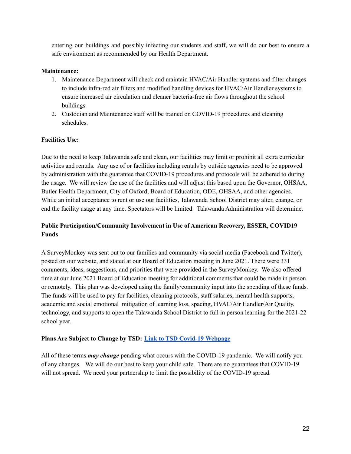entering our buildings and possibly infecting our students and staff, we will do our best to ensure a safe environment as recommended by our Health Department.

#### **Maintenance:**

- 1. Maintenance Department will check and maintain HVAC/Air Handler systems and filter changes to include infra-red air filters and modified handling devices for HVAC/Air Handler systems to ensure increased air circulation and cleaner bacteria-free air flows throughout the school buildings
- 2. Custodian and Maintenance staff will be trained on COVID-19 procedures and cleaning schedules.

#### **Facilities Use:**

Due to the need to keep Talawanda safe and clean, our facilities may limit or prohibit all extra curricular activities and rentals. Any use of or facilities including rentals by outside agencies need to be approved by administration with the guarantee that COVID-19 procedures and protocols will be adhered to during the usage. We will review the use of the facilities and will adjust this based upon the Governor, OHSAA, Butler Health Department, City of Oxford, Board of Education, ODE, OHSAA, and other agencies. While an initial acceptance to rent or use our facilities, Talawanda School District may alter, change, or end the facility usage at any time. Spectators will be limited. Talawanda Administration will determine.

# **Public Participation/Community Involvement in Use of American Recovery, ESSER, COVID19 Funds**

A SurveyMonkey was sent out to our families and community via social media (Facebook and Twitter), posted on our website, and stated at our Board of Education meeting in June 2021. There were 331 comments, ideas, suggestions, and priorities that were provided in the SurveyMonkey. We also offered time at our June 2021 Board of Education meeting for additional comments that could be made in person or remotely. This plan was developed using the family/community input into the spending of these funds. The funds will be used to pay for facilities, cleaning protocols, staff salaries, mental health supports, academic and social emotional mitigation of learning loss, spacing, HVAC/Air Handler/Air Quality, technology, and supports to open the Talawanda School District to full in person learning for the 2021-22 school year.

#### **Plans Are Subject to Change by TSD: Link to TSD Covid-19 [Webpage](https://www.talawanda.org/resources/covid-19-information-45/)**

All of these terms *may change* pending what occurs with the COVID-19 pandemic. We will notify you of any changes. We will do our best to keep your child safe. There are no guarantees that COVID-19 will not spread. We need your partnership to limit the possibility of the COVID-19 spread.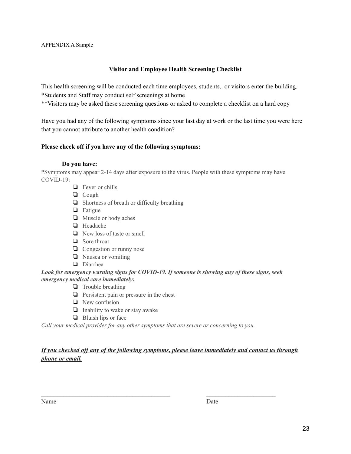#### **Visitor and Employee Health Screening Checklist**

This health screening will be conducted each time employees, students, or visitors enter the building. \*Students and Staff may conduct self screenings at home

\*\*Visitors may be asked these screening questions or asked to complete a checklist on a hard copy

Have you had any of the following symptoms since your last day at work or the last time you were here that you cannot attribute to another health condition?

#### **Please check off if you have any of the following symptoms:**

#### **Do you have:**

\*Symptoms may appear 2-14 days after exposure to the virus. People with these symptoms may have COVID-19:

- ❏ Fever or chills
- ❏ Cough
- ❏ Shortness of breath or difficulty breathing
- ❏ Fatigue
- ❏ Muscle or body aches
- ❏ Headache
- ❏ New loss of taste or smell
- ❏ Sore throat
- ❏ Congestion or runny nose
- ❏ Nausea or vomiting
- ❏ Diarrhea

#### *Look for emergency warning signs for COVID-19. If someone is showing any of these signs, seek emergency medical care immediately:*

- ❏ Trouble breathing
- ❏ Persistent pain or pressure in the chest
- ❏ New confusion
- ❏ Inability to wake or stay awake
- ❏ Bluish lips or face

*Call your medical provider for any other symptoms that are severe or concerning to you.*

# *If you checked of any of the following symptoms, please leave immediately and contact us through phone or email.*

 $\mathcal{L}_\text{max} = \frac{1}{2} \sum_{i=1}^n \mathcal{L}_\text{max}(\mathbf{z}_i - \mathbf{z}_i)$ 

| Date |
|------|
|      |